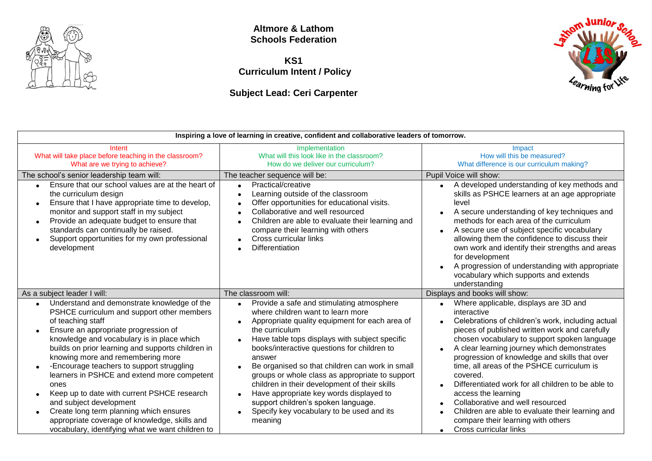

**Altmore & Lathom Schools Federation**

**KS1 Curriculum Intent / Policy**

**Subject Lead: Ceri Carpenter**



| Inspiring a love of learning in creative, confident and collaborative leaders of tomorrow.                                                                                                                                                                                                                                                                                                                                                                                                                                                                                                                                   |                                                                                                                                                                                                                                                                                                                                                                                                                                                                                                                                                                                                       |                                                                                                                                                                                                                                                                                                                                                                                                                                                                                                                                                                                                                                      |
|------------------------------------------------------------------------------------------------------------------------------------------------------------------------------------------------------------------------------------------------------------------------------------------------------------------------------------------------------------------------------------------------------------------------------------------------------------------------------------------------------------------------------------------------------------------------------------------------------------------------------|-------------------------------------------------------------------------------------------------------------------------------------------------------------------------------------------------------------------------------------------------------------------------------------------------------------------------------------------------------------------------------------------------------------------------------------------------------------------------------------------------------------------------------------------------------------------------------------------------------|--------------------------------------------------------------------------------------------------------------------------------------------------------------------------------------------------------------------------------------------------------------------------------------------------------------------------------------------------------------------------------------------------------------------------------------------------------------------------------------------------------------------------------------------------------------------------------------------------------------------------------------|
| Intent<br>What will take place before teaching in the classroom?<br>What are we trying to achieve?                                                                                                                                                                                                                                                                                                                                                                                                                                                                                                                           | Implementation<br>What will this look like in the classroom?<br>How do we deliver our curriculum?                                                                                                                                                                                                                                                                                                                                                                                                                                                                                                     | Impact<br>How will this be measured?<br>What difference is our curriculum making?                                                                                                                                                                                                                                                                                                                                                                                                                                                                                                                                                    |
| The school's senior leadership team will:<br>Ensure that our school values are at the heart of<br>the curriculum design<br>Ensure that I have appropriate time to develop,<br>$\bullet$                                                                                                                                                                                                                                                                                                                                                                                                                                      | The teacher sequence will be:<br>Practical/creative<br>$\bullet$<br>Learning outside of the classroom<br>$\bullet$<br>Offer opportunities for educational visits.<br>$\bullet$                                                                                                                                                                                                                                                                                                                                                                                                                        | Pupil Voice will show:<br>• A developed understanding of key methods and<br>skills as PSHCE learners at an age appropriate<br>level                                                                                                                                                                                                                                                                                                                                                                                                                                                                                                  |
| monitor and support staff in my subject<br>Provide an adequate budget to ensure that<br>standards can continually be raised.<br>Support opportunities for my own professional<br>development                                                                                                                                                                                                                                                                                                                                                                                                                                 | Collaborative and well resourced<br>$\bullet$<br>Children are able to evaluate their learning and<br>compare their learning with others<br>Cross curricular links<br>Differentiation                                                                                                                                                                                                                                                                                                                                                                                                                  | A secure understanding of key techniques and<br>methods for each area of the curriculum<br>A secure use of subject specific vocabulary<br>allowing them the confidence to discuss their<br>own work and identify their strengths and areas<br>for development<br>A progression of understanding with appropriate<br>vocabulary which supports and extends<br>understanding                                                                                                                                                                                                                                                           |
| As a subject leader I will:                                                                                                                                                                                                                                                                                                                                                                                                                                                                                                                                                                                                  | The classroom will:                                                                                                                                                                                                                                                                                                                                                                                                                                                                                                                                                                                   | Displays and books will show:                                                                                                                                                                                                                                                                                                                                                                                                                                                                                                                                                                                                        |
| Understand and demonstrate knowledge of the<br>PSHCE curriculum and support other members<br>of teaching staff<br>Ensure an appropriate progression of<br>knowledge and vocabulary is in place which<br>builds on prior learning and supports children in<br>knowing more and remembering more<br>-Encourage teachers to support struggling<br>learners in PSHCE and extend more competent<br>ones<br>Keep up to date with current PSHCE research<br>and subject development<br>Create long term planning which ensures<br>appropriate coverage of knowledge, skills and<br>vocabulary, identifying what we want children to | Provide a safe and stimulating atmosphere<br>$\bullet$<br>where children want to learn more<br>Appropriate quality equipment for each area of<br>$\bullet$<br>the curriculum<br>Have table tops displays with subject specific<br>$\bullet$<br>books/interactive questions for children to<br>answer<br>Be organised so that children can work in small<br>groups or whole class as appropriate to support<br>children in their development of their skills<br>Have appropriate key words displayed to<br>support children's spoken language.<br>Specify key vocabulary to be used and its<br>meaning | Where applicable, displays are 3D and<br>$\bullet$<br>interactive<br>Celebrations of children's work, including actual<br>$\bullet$<br>pieces of published written work and carefully<br>chosen vocabulary to support spoken language<br>A clear learning journey which demonstrates<br>progression of knowledge and skills that over<br>time, all areas of the PSHCE curriculum is<br>covered.<br>Differentiated work for all children to be able to<br>access the learning<br>Collaborative and well resourced<br>Children are able to evaluate their learning and<br>compare their learning with others<br>Cross curricular links |